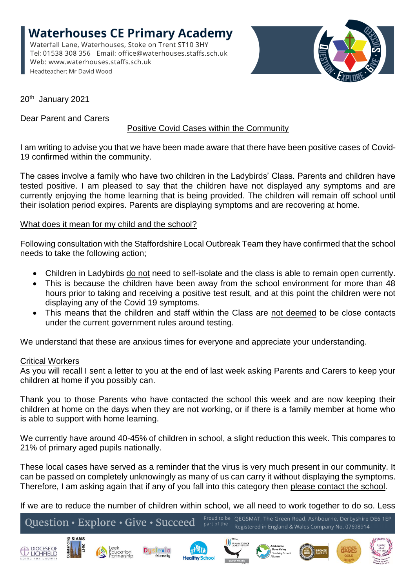**Waterhouses CE Primary Academy** Waterfall Lane, Waterhouses, Stoke on Trent ST10 3HY Tel: 01538 308 356 Email: office@waterhouses.staffs.sch.uk Web: www.waterhouses.staffs.sch.uk Headteacher: Mr David Wood



20th January 2021

Dear Parent and Carers

# Positive Covid Cases within the Community

I am writing to advise you that we have been made aware that there have been positive cases of Covid-19 confirmed within the community.

The cases involve a family who have two children in the Ladybirds' Class. Parents and children have tested positive. I am pleased to say that the children have not displayed any symptoms and are currently enjoying the home learning that is being provided. The children will remain off school until their isolation period expires. Parents are displaying symptoms and are recovering at home.

## What does it mean for my child and the school?

Following consultation with the Staffordshire Local Outbreak Team they have confirmed that the school needs to take the following action;

- Children in Ladybirds do not need to self-isolate and the class is able to remain open currently.
- This is because the children have been away from the school environment for more than 48 hours prior to taking and receiving a positive test result, and at this point the children were not displaying any of the Covid 19 symptoms.
- This means that the children and staff within the Class are not deemed to be close contacts under the current government rules around testing.

We understand that these are anxious times for everyone and appreciate your understanding.

#### Critical Workers

As you will recall I sent a letter to you at the end of last week asking Parents and Carers to keep your children at home if you possibly can.

Thank you to those Parents who have contacted the school this week and are now keeping their children at home on the days when they are not working, or if there is a family member at home who is able to support with home learning.

We currently have around 40-45% of children in school, a slight reduction this week. This compares to 21% of primary aged pupils nationally.

These local cases have served as a reminder that the virus is very much present in our community. It can be passed on completely unknowingly as many of us can carry it without displaying the symptoms. Therefore, I am asking again that if any of you fall into this category then please contact the school.

If we are to reduce the number of children within school, we all need to work together to do so. Less